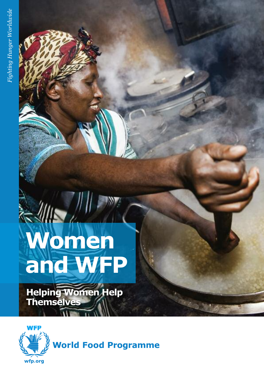# **Women and WFP**

**Helping Women Help Themselves**



**World Food Programme**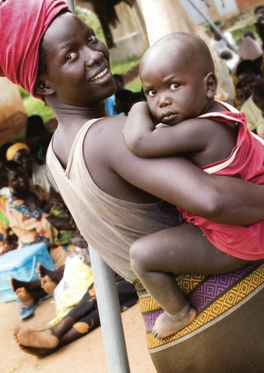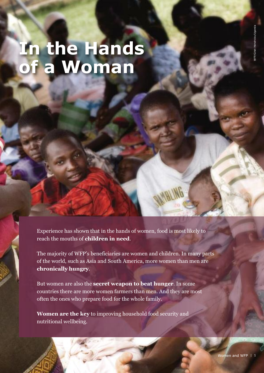## **In the Hands of a Woman**

Experience has shown that in the hands of women, food is most likely to reach the mouths of **children in need**.

The majority of WFP's beneficiaries are women and children. In many parts of the world, such as Asia and South America, more women than men are **chronically hungry**.

But women are also the **secret weapon to beat hunger**. In some countries there are more women farmers than men. And they are most often the ones who prepare food for the whole family.

**Women are the key** to improving household food security and nutritional wellbeing.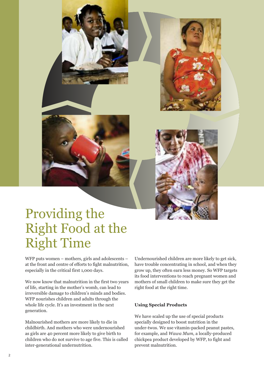





## Providing the Right Food at the Right Time

WFP puts women – mothers, girls and adolescents – at the front and centre of efforts to fight malnutrition, especially in the critical first 1,000 days.

We now know that malnutrition in the first two years of life, starting in the mother's womb, can lead to irreversible damage to children's minds and bodies. WFP nourishes children and adults through the whole life cycle. It's an investment in the next generation.

Malnourished mothers are more likely to die in childbirth. And mothers who were undernourished as girls are 40 percent more likely to give birth to children who do not survive to age five. This is called inter-generational undernutrition.

Undernourished children are more likely to get sick, have trouble concentrating in school, and when they grow up, they often earn less money. So WFP targets its food interventions to reach pregnant women and mothers of small children to make sure they get the right food at the right time.

#### **Using Special Products**

We have scaled up the use of special products specially designed to boost nutrition in the under-twos. We use vitamin-packed peanut pastes, for example, and *Wawa Mum*, a locally-produced chickpea product developed by WFP, to fight and prevent malnutrition.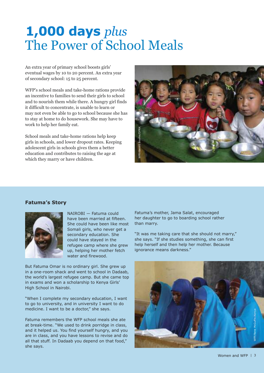## 1,000 days plus The Power of School Meals

An extra year of primary school boosts girls' eventual wages by 10 to 20 percent. An extra year of secondary school: 15 to 25 percent.

WFP's school meals and take-home rations provide an incentive to families to send their girls to school and to nourish them while there. A hungry girl finds it difficult to concentrate, is unable to learn or may not even be able to go to school because she has to stay at home to do housework. She may have to work to help her family eat.

School meals and take-home rations help keep girls in schools, and lower dropout rates. Keeping adolescent girls in schools gives them a better education and contributes to raising the age at which they marry or have children.



#### **Fatuma's Story**



NAIROBI — Fatuma could have been married at fifteen. She could have been like most Somali girls, who never get a secondary education. She could have stayed in the refugee camp where she grew up, helping her mother fetch water and firewood.

But Fatuma Omar is no ordinary girl. She grew up in a one-room shack and went to school in Dadaab, the world's largest refugee camp. But she came top in exams and won a scholarship to Kenya Girls' High School in Nairobi.

"When I complete my secondary education, I want to go to university, and in university I want to do medicine. I want to be a doctor," she says.

Fatuma remembers the WFP school meals she ate at break-time. "We used to drink porridge in class, and it helped us. You find yourself hungry, and you are in class, and you have lessons to revise and do all that stuff. In Dadaab you depend on that food," she says.

Fatuma's mother, Jama Salat, encouraged her daughter to go to boarding school rather than marry.

"It was me taking care that she should not marry," she says. "If she studies something, she can first help herself and then help her mother. Because ignorance means darkness."

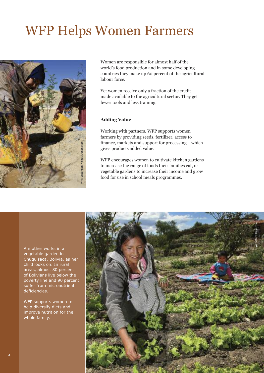## WFP Helps Women Farmers



Women are responsible for almost half of the world's food production and in some developing countries they make up 60 percent of the agricultural labour force.

Yet women receive only a fraction of the credit made available to the agricultural sector. They get fewer tools and less training.

#### **Adding Value**

Working with partners, WFP supports women farmers by providing seeds, fertilizer, access to finance, markets and support for processing – which gives products added value.

WFP encourages women to cultivate kitchen gardens to increase the range of foods their families eat, or vegetable gardens to increase their income and grow food for use in school meals programmes.

A mother works in a vegetable garden in Chuquisaca, Bolivia, as her child looks on. In rural areas, almost 80 percent of Bolivians live below the poverty line and 90 percent suffer from micronutrient deficiencies.

WFP supports women to help diversify diets and improve nutrition for the whole family.

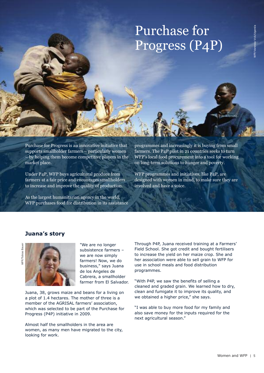## Purchase for Progress (P4P)

Purchase for Progress is an innovative initiative that supports smallholder farmers – particularly women – by helping them become competitive players in the market place.

Under P4P, WFP buys agricultural produce from farmers at a fair price and encourages smallholders to increase and improve the quality of production.

As the largest humanitarian agency in the world, WFP purchases food for distribution in its assistance programmes and increasingly it is buying from small farmers. The P4P pilot in 21 countries seeks to turn WFP's local food procurement into a tool for working on long-term solutions to hunger and poverty.

WFP programmes and initiatives, like P4P, are designed with women in mind, to make sure they are involved and have a voice.

#### **Juana's story**





"We are no longer subsistence farmers – we are now simply farmers! Now, we do business," says Juana de los Angeles de Cabrera, a smallholder farmer from El Salvador.

Juana, 38, grows maize and beans for a living on a plot of 1.4 hectares. The mother of three is a member of the AGRISAL farmers' association, which was selected to be part of the Purchase for Progress (P4P) initiative in 2009.

Almost half the smallholders in the area are women, as many men have migrated to the city, looking for work.

Through P4P, Juana received training at a Farmers' Field School. She got credit and bought fertilisers to increase the yield on her maize crop. She and her association were able to sell grain to WFP for use in school meals and food distribution programmes.

"With P4P, we saw the benefits of selling a cleaned and graded grain. We learned how to dry, clean and fumigate it to improve its quality, and we obtained a higher price," she says.

"I was able to buy more food for my family and also save money for the inputs required for the next agricultural season."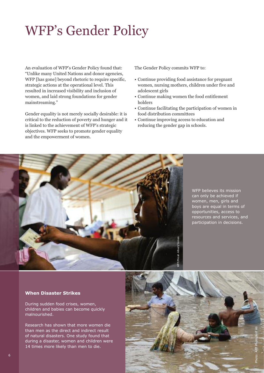## WFP's Gender Policy

An evaluation of WFP's Gender Policy found that: "Unlike many United Nations and donor agencies, WFP [has gone] beyond rhetoric to require specific, strategic actions at the operational level. This resulted in increased visibility and inclusion of women, and laid strong foundations for gender mainstreaming."

Gender equality is not merely socially desirable: it is critical to the reduction of poverty and hunger and it is linked to the achievement of WFP's strategic objectives. WFP seeks to promote gender equality and the empowerment of women.

The Gender Policy commits WFP to:

- Continue providing food assistance for pregnant women, nursing mothers, children under five and adolescent girls
- Continue making women the food entitlement holders
- Continue facilitating the participation of women in food distribution committees
- Continue improving access to education and reducing the gender gap in schools.



WFP believes its mission can only be achieved if women, men, girls and boys are equal in terms of opportunities, access to resources and services, and participation in decisions.

#### **When Disaster Strikes**

During sudden food crises, women, children and babies can become quickly malnourished.

Research has shown that more women die than men as the direct and indirect result of natural disasters. One study found that during a disaster, women and children were 14 times more likely than men to die.

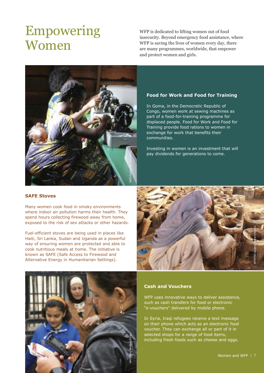## Empowering Women

WFP is dedicated to lifting women out of food insecurity. Beyond emergency food assistance, where WFP is saving the lives of women every day, there are many programmes, worldwide, that empower and protect women and girls.



#### **Food for Work and Food for Training**

In Goma, in the Democratic Republic of Congo, women work at sewing machines as part of a food-for-training programme for displaced people. Food for Work and Food for Training provide food rations to women in exchange for work that benefits their communities.

Investing in women is an investment that will pay dividends for generations to come.

#### **SAFE Stoves**

Many women cook food in smoky environments where indoor air pollution harms their health. They spend hours collecting firewood away from home, exposed to the risk of sex attacks or other hazards.

Fuel-efficient stoves are being used in places like Haiti, Sri Lanka, Sudan and Uganda as a powerful way of ensuring women are protected and able to cook nutritious meals at home. The initiative is known as SAFE (Safe Access to Firewood and Alternative Energy in Humanitarian Settings).





#### **Cash and Vouchers**

WFP uses innovative ways to deliver assistance, such as cash transfers for food or electronic "e-vouchers" delivered by mobile phone.

In Syria, Iraqi refugees receive a text message on their phone which acts as an electronic food voucher. They can exchange all or part of it in selected shops for a range of food items, including fresh foods such as cheese and eggs.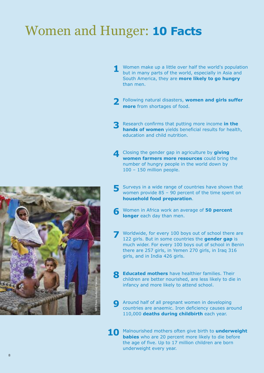## Women and Hunger: **10 Facts**



- Following natural disasters, **women and girls suffer 2 more** from shortages of food.
- Research confirms that putting more income **in the 3 hands of women** yields beneficial results for health, education and child nutrition.
- Closing the gender gap in agriculture by **giving 4 women farmers more resources** could bring the number of hungry people in the world down by 100 – 150 million people.
- Surveys in a wide range of countries have shown that women provide 85 – 90 percent of the time spent on **household food preparation**. **5**
- Women in Africa work an average of **50 percent 6 longer** each day than men.
- **7** Worldwide, for every 100 boys out of school there are 122 girls. But in some countries the **gender gap** is much wider. For every 100 boys out of school in Benin there are 257 girls, in Yemen 270 girls, in Iraq 316 girls, and in India 426 girls.
- **Educated mothers** have healthier families. Their **8** children are better nourished, are less likely to die in infancy and more likely to attend school.
- Around half of all pregnant women in developing **9** countries are anaemic. Iron deficiency causes around 110,000 **deaths during childbirth** each year.
- 10 Malnourished mothers often give birth to **underweight**<br> **10** habies who are 20 percent more likely to die before **babies** who are 20 percent more likely to die before the age of five. Up to 17 million children are born underweight every year.

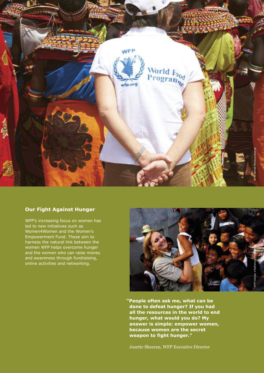

#### **Our Fight Against Hunger**

WFP's increasing focus on women has led to new initiatives such as Women4Women and the Women's Empowerment Fund. These aim to harness the natural link between the women WFP helps overcome hunger and the women who can raise money and awareness through fundraising, online activities and networking.



**"People often ask me, what can be done to defeat hunger? If you had all the resources in the world to end hunger, what would you do? My answer is simple: empower women, because women are the secret weapon to fight hunger."**

Josette Sheeran, WFP Executive Director